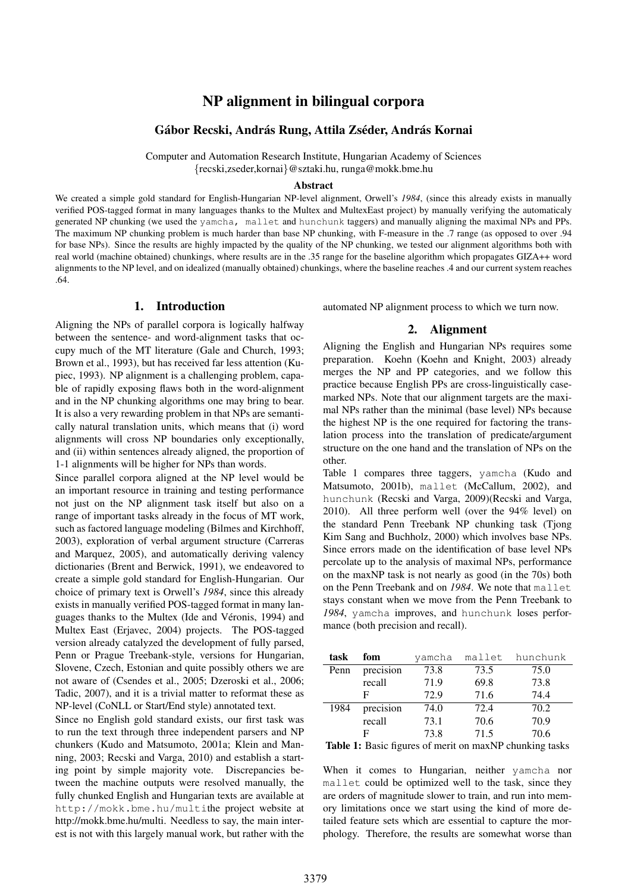# NP alignment in bilingual corpora

### Gábor Recski, András Rung, Attila Zséder, András Kornai

Computer and Automation Research Institute, Hungarian Academy of Sciences {recski,zseder,kornai}@sztaki.hu, runga@mokk.bme.hu

#### Abstract

We created a simple gold standard for English-Hungarian NP-level alignment, Orwell's *1984*, (since this already exists in manually verified POS-tagged format in many languages thanks to the Multex and MultexEast project) by manually verifying the automaticaly generated NP chunking (we used the yamcha, mallet and hunchunk taggers) and manually aligning the maximal NPs and PPs. The maximum NP chunking problem is much harder than base NP chunking, with F-measure in the .7 range (as opposed to over .94 for base NPs). Since the results are highly impacted by the quality of the NP chunking, we tested our alignment algorithms both with real world (machine obtained) chunkings, where results are in the .35 range for the baseline algorithm which propagates GIZA++ word alignments to the NP level, and on idealized (manually obtained) chunkings, where the baseline reaches .4 and our current system reaches .64.

#### 1. Introduction

Aligning the NPs of parallel corpora is logically halfway between the sentence- and word-alignment tasks that occupy much of the MT literature (Gale and Church, 1993; Brown et al., 1993), but has received far less attention (Kupiec, 1993). NP alignment is a challenging problem, capable of rapidly exposing flaws both in the word-alignment and in the NP chunking algorithms one may bring to bear. It is also a very rewarding problem in that NPs are semantically natural translation units, which means that (i) word alignments will cross NP boundaries only exceptionally, and (ii) within sentences already aligned, the proportion of 1-1 alignments will be higher for NPs than words.

Since parallel corpora aligned at the NP level would be an important resource in training and testing performance not just on the NP alignment task itself but also on a range of important tasks already in the focus of MT work, such as factored language modeling (Bilmes and Kirchhoff, 2003), exploration of verbal argument structure (Carreras and Marquez, 2005), and automatically deriving valency dictionaries (Brent and Berwick, 1991), we endeavored to create a simple gold standard for English-Hungarian. Our choice of primary text is Orwell's *1984*, since this already exists in manually verified POS-tagged format in many languages thanks to the Multex (Ide and Véronis, 1994) and Multex East (Erjavec, 2004) projects. The POS-tagged version already catalyzed the development of fully parsed, Penn or Prague Treebank-style, versions for Hungarian, Slovene, Czech, Estonian and quite possibly others we are not aware of (Csendes et al., 2005; Dzeroski et al., 2006; Tadic, 2007), and it is a trivial matter to reformat these as NP-level (CoNLL or Start/End style) annotated text.

Since no English gold standard exists, our first task was to run the text through three independent parsers and NP chunkers (Kudo and Matsumoto, 2001a; Klein and Manning, 2003; Recski and Varga, 2010) and establish a starting point by simple majority vote. Discrepancies between the machine outputs were resolved manually, the fully chunked English and Hungarian texts are available at http://mokk.bme.hu/multithe project website at http://mokk.bme.hu/multi. Needless to say, the main interest is not with this largely manual work, but rather with the automated NP alignment process to which we turn now.

### 2. Alignment

Aligning the English and Hungarian NPs requires some preparation. Koehn (Koehn and Knight, 2003) already merges the NP and PP categories, and we follow this practice because English PPs are cross-linguistically casemarked NPs. Note that our alignment targets are the maximal NPs rather than the minimal (base level) NPs because the highest NP is the one required for factoring the translation process into the translation of predicate/argument structure on the one hand and the translation of NPs on the other.

Table 1 compares three taggers, yamcha (Kudo and Matsumoto, 2001b), mallet (McCallum, 2002), and hunchunk (Recski and Varga, 2009)(Recski and Varga, 2010). All three perform well (over the 94% level) on the standard Penn Treebank NP chunking task (Tjong Kim Sang and Buchholz, 2000) which involves base NPs. Since errors made on the identification of base level NPs percolate up to the analysis of maximal NPs, performance on the maxNP task is not nearly as good (in the 70s) both on the Penn Treebank and on *1984*. We note that mallet stays constant when we move from the Penn Treebank to *1984*, yamcha improves, and hunchunk loses performance (both precision and recall).

| task                                                            | fom       | yamcha | mallet | hunchunk |
|-----------------------------------------------------------------|-----------|--------|--------|----------|
| Penn                                                            | precision | 73.8   | 73.5   | 75.0     |
|                                                                 | recall    | 71.9   | 69.8   | 73.8     |
|                                                                 | F         | 72.9   | 71.6   | 74.4     |
| 1984                                                            | precision | 74.0   | 72.4   | 70.2     |
|                                                                 | recall    | 73.1   | 70.6   | 70.9     |
|                                                                 | F         | 73.8   | 71.5   | 70.6     |
| <b>Table 1.</b> Rasic figures of merit on may NP chunking tasks |           |        |        |          |

Table 1: Basic figures of merit on maxNP chunking tasks

When it comes to Hungarian, neither yamcha nor mallet could be optimized well to the task, since they are orders of magnitude slower to train, and run into memory limitations once we start using the kind of more detailed feature sets which are essential to capture the morphology. Therefore, the results are somewhat worse than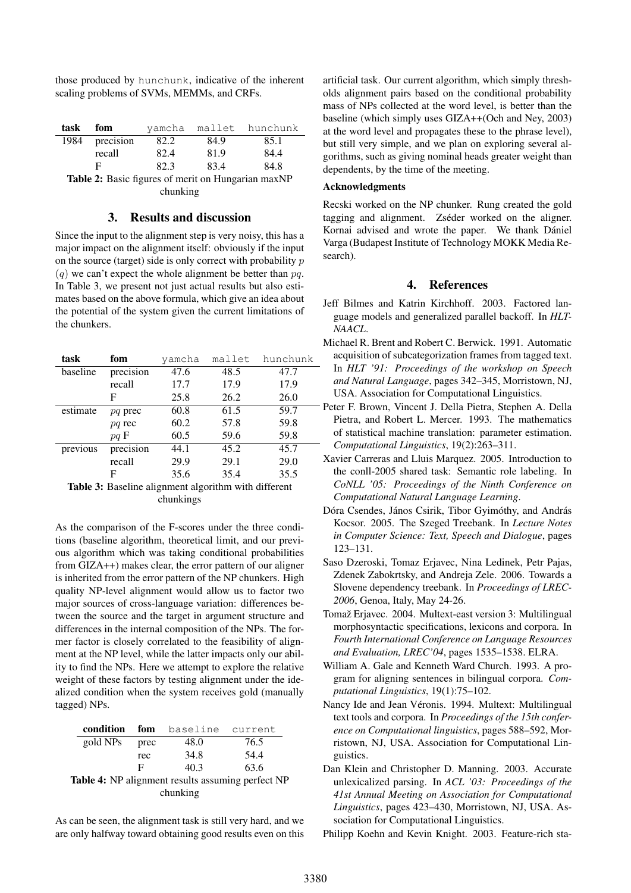those produced by hunchunk, indicative of the inherent scaling problems of SVMs, MEMMs, and CRFs.

| task | fom            |      |      | yamcha mallet hunchunk |
|------|----------------|------|------|------------------------|
|      | 1984 precision | 82.2 | 84.9 | 85.1                   |
|      | recall         | 82.4 | 81.9 | 84.4                   |
|      | F              | 82.3 | 83.4 | 84.8                   |

Table 2: Basic figures of merit on Hungarian maxNP chunking

### 3. Results and discussion

Since the input to the alignment step is very noisy, this has a major impact on the alignment itself: obviously if the input on the source (target) side is only correct with probability  $p$  $(q)$  we can't expect the whole alignment be better than  $pq$ . In Table 3, we present not just actual results but also estimates based on the above formula, which give an idea about the potential of the system given the current limitations of the chunkers.

| task     | fom            | vamcha | mallet | hunchunk |
|----------|----------------|--------|--------|----------|
| baseline | precision      | 47.6   | 48.5   | 47.7     |
|          | recall         | 17.7   | 17.9   | 17.9     |
|          | F              | 25.8   | 26.2   | 26.0     |
| estimate | <i>pq</i> prec | 60.8   | 61.5   | 59.7     |
|          | pq rec         | 60.2   | 57.8   | 59.8     |
|          | $pq \nF$       | 60.5   | 59.6   | 59.8     |
| previous | precision      | 44.1   | 45.2   | 45.7     |
|          | recall         | 29.9   | 29.1   | 29.0     |
|          | F              | 35.6   | 35.4   | 35.5     |
|          |                |        |        |          |

Table 3: Baseline alignment algorithm with different chunkings

As the comparison of the F-scores under the three conditions (baseline algorithm, theoretical limit, and our previous algorithm which was taking conditional probabilities from GIZA++) makes clear, the error pattern of our aligner is inherited from the error pattern of the NP chunkers. High quality NP-level alignment would allow us to factor two major sources of cross-language variation: differences between the source and the target in argument structure and differences in the internal composition of the NPs. The former factor is closely correlated to the feasibility of alignment at the NP level, while the latter impacts only our ability to find the NPs. Here we attempt to explore the relative weight of these factors by testing alignment under the idealized condition when the system receives gold (manually tagged) NPs.

|                                                   | condition | fom  | baseline | current |
|---------------------------------------------------|-----------|------|----------|---------|
|                                                   | gold NPs  | prec | 48.0     | 76.5    |
|                                                   |           | rec  | 34.8     | 54.4    |
|                                                   |           | F    | 40.3     | 63.6    |
| Table 4: NP alignment results assuming perfect NP |           |      |          |         |
| chunking                                          |           |      |          |         |

As can be seen, the alignment task is still very hard, and we are only halfway toward obtaining good results even on this artificial task. Our current algorithm, which simply thresholds alignment pairs based on the conditional probability mass of NPs collected at the word level, is better than the baseline (which simply uses GIZA++(Och and Ney, 2003) at the word level and propagates these to the phrase level), but still very simple, and we plan on exploring several algorithms, such as giving nominal heads greater weight than dependents, by the time of the meeting.

#### Acknowledgments

Recski worked on the NP chunker. Rung created the gold tagging and alignment. Zséder worked on the aligner. Kornai advised and wrote the paper. We thank Dániel Varga (Budapest Institute of Technology MOKK Media Research).

#### 4. References

- Jeff Bilmes and Katrin Kirchhoff. 2003. Factored language models and generalized parallel backoff. In *HLT-NAACL*.
- Michael R. Brent and Robert C. Berwick. 1991. Automatic acquisition of subcategorization frames from tagged text. In *HLT '91: Proceedings of the workshop on Speech and Natural Language*, pages 342–345, Morristown, NJ, USA. Association for Computational Linguistics.
- Peter F. Brown, Vincent J. Della Pietra, Stephen A. Della Pietra, and Robert L. Mercer. 1993. The mathematics of statistical machine translation: parameter estimation. *Computational Linguistics*, 19(2):263–311.
	- Xavier Carreras and Lluis Marquez. 2005. Introduction to the conll-2005 shared task: Semantic role labeling. In *CoNLL '05: Proceedings of the Ninth Conference on Computational Natural Language Learning*.
	- Dóra Csendes, János Csirik, Tibor Gyimóthy, and András Kocsor. 2005. The Szeged Treebank. In *Lecture Notes in Computer Science: Text, Speech and Dialogue*, pages 123–131.
	- Saso Dzeroski, Tomaz Erjavec, Nina Ledinek, Petr Pajas, Zdenek Zabokrtsky, and Andreja Zele. 2006. Towards a Slovene dependency treebank. In *Proceedings of LREC-2006*, Genoa, Italy, May 24-26.
	- Tomaž Erjavec. 2004. Multext-east version 3: Multilingual morphosyntactic specifications, lexicons and corpora. In *Fourth International Conference on Language Resources and Evaluation, LREC'04*, pages 1535–1538. ELRA.
	- William A. Gale and Kenneth Ward Church. 1993. A program for aligning sentences in bilingual corpora. *Computational Linguistics*, 19(1):75–102.
	- Nancy Ide and Jean Véronis. 1994. Multext: Multilingual text tools and corpora. In *Proceedings of the 15th conference on Computational linguistics*, pages 588–592, Morristown, NJ, USA. Association for Computational Linguistics.
	- Dan Klein and Christopher D. Manning. 2003. Accurate unlexicalized parsing. In *ACL '03: Proceedings of the 41st Annual Meeting on Association for Computational Linguistics*, pages 423–430, Morristown, NJ, USA. Association for Computational Linguistics.

Philipp Koehn and Kevin Knight. 2003. Feature-rich sta-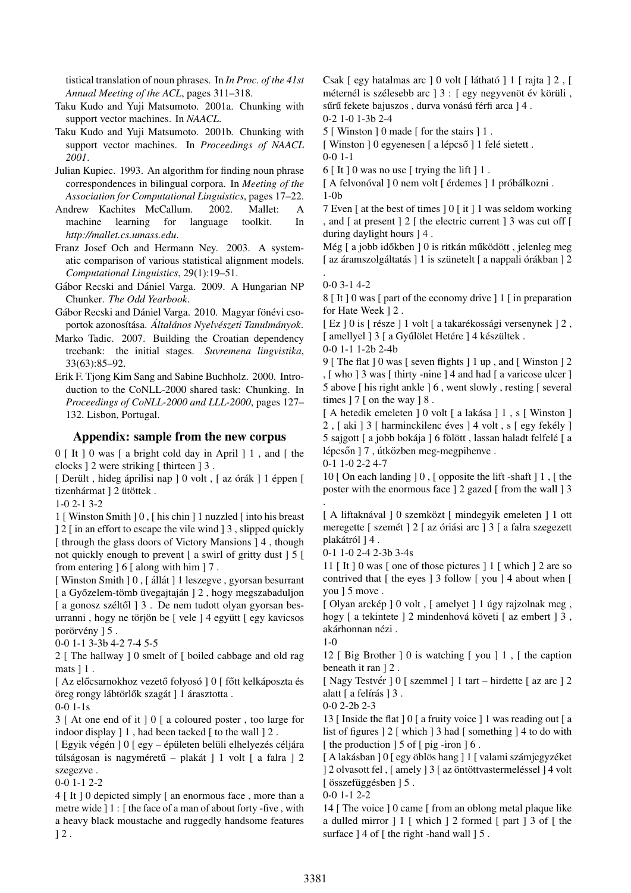tistical translation of noun phrases. In *In Proc. of the 41st Annual Meeting of the ACL*, pages 311–318.

Taku Kudo and Yuji Matsumoto. 2001a. Chunking with support vector machines. In *NAACL*.

Taku Kudo and Yuji Matsumoto. 2001b. Chunking with support vector machines. In *Proceedings of NAACL 2001*.

- Julian Kupiec. 1993. An algorithm for finding noun phrase correspondences in bilingual corpora. In *Meeting of the Association for Computational Linguistics*, pages 17–22.
- Andrew Kachites McCallum. 2002. Mallet: A machine learning for language toolkit. In *http://mallet.cs.umass.edu*.
- Franz Josef Och and Hermann Ney. 2003. A systematic comparison of various statistical alignment models. *Computational Linguistics*, 29(1):19–51.
- Gábor Recski and Dániel Varga. 2009. A Hungarian NP Chunker. *The Odd Yearbook*.
- Gábor Recski and Dániel Varga. 2010. Magyar fönévi csoportok azonos´ıtasa. ´ *Altal ´ anos Nyelv ´ eszeti Tanulm ´ anyok ´* .
- Marko Tadic. 2007. Building the Croatian dependency treebank: the initial stages. *Suvremena lingvistika*, 33(63):85–92.
- Erik F. Tjong Kim Sang and Sabine Buchholz. 2000. Introduction to the CoNLL-2000 shared task: Chunking. In *Proceedings of CoNLL-2000 and LLL-2000*, pages 127– 132. Lisbon, Portugal.

## Appendix: sample from the new corpus

 $0 \mid$  It  $\mid$  0 was  $\mid$  a bright cold day in April  $\mid$  1, and  $\mid$  the clocks ] 2 were striking [ thirteen ] 3 .

 $\lceil$  Derült, hideg áprilisi nap  $\lceil$  0 volt,  $\lceil$  az órák  $\lceil$  1 éppen  $\lceil$ tizenhármat ] 2 ütöttek .

1-0 2-1 3-2

1 [ Winston Smith ] 0 , [ his chin ] 1 nuzzled [ into his breast ] 2 [ in an effort to escape the vile wind ] 3 , slipped quickly [ through the glass doors of Victory Mansions ] 4 , though not quickly enough to prevent [ a swirl of gritty dust ] 5 [ from entering  $\vert 6 \vert$  along with him  $\vert 7 \vert$ .

 $[$  Winston Smith  $] 0$ ,  $[$  állát  $] 1$  leszegve, gyorsan besurrant [ a Győzelem-tömb üvegajtaján ] 2, hogy megszabaduljon  $\left[$  a gonosz széltől  $\left]$  3. De nem tudott olyan gyorsan besurranni, hogy ne törjön be [ vele ] 4 együtt [ egy kavicsos porörvény  $\vert 5$ .

0-0 1-1 3-3b 4-2 7-4 5-5

2 [ The hallway ] 0 smelt of [ boiled cabbage and old rag mats ] 1 .

 $\int$  Az előcsarnokhoz vezető folyosó  $\frac{1}{0}$   $\int$  főtt kelkáposzta és öreg rongy lábtörlők szagát ] 1 árasztotta .

0-0 1-1s

3 [ At one end of it ] 0 [ a coloured poster , too large for indoor display ] 1 , had been tacked [ to the wall ] 2 .

[ Egyik végén ] 0 [ egy – épületen belüli elhelyezés céljára túlságosan is nagyméretű – plakát  $\vert$  1 volt  $\vert$  a falra  $\vert$  2 szegezve .

0-0 1-1 2-2

4 [ It ] 0 depicted simply [ an enormous face , more than a metre wide ] 1 : [ the face of a man of about forty -five , with a heavy black moustache and ruggedly handsome features  $\overline{)2}$ .

Csak  $\lceil$  egy hatalmas arc  $\lceil$  0 volt  $\lceil$  látható  $\lceil$  1  $\lceil$  rajta  $\lceil$  2  $\lceil$ méternél is szélesebb arc ] 3 : [ egy negyvenöt év körüli, sűrű fekete bajuszos, durva vonású férfi arca ] 4.

0-2 1-0 1-3b 2-4

5 [ Winston ] 0 made [ for the stairs ] 1 .  $\lceil$  Winston  $\rceil$  0 egyenesen  $\lceil$  a lépcső  $\rceil$  1 felé sietett.

0-0 1-1

6 [ It ] 0 was no use  $\lceil$  trying the lift  $\rceil$  1.

[ A felvonóval ] 0 nem volt [ érdemes ] 1 próbálkozni . 1-0b

7 Even [ at the best of times ] 0 [ it ] 1 was seldom working , and [ at present ] 2 [ the electric current ] 3 was cut off [ during daylight hours ] 4 .

Még [ a jobb időkben ] 0 is ritkán működött, jelenleg meg [ az áramszolgáltatás ] 1 is szünetelt [ a nappali órákban ] 2

0-0 3-1 4-2

.

8 [ It ] 0 was [ part of the economy drive ] 1 [ in preparation for Hate Week ] 2 .

 $[Ez]$  0 is  $[$  része  $]$  1 volt  $[$  a takarékossági versenynek  $]$  2, [ amellyel ] 3 [ a Gyűlölet Hetére ] 4 készültek .

0-0 1-1 1-2b 2-4b

9 [ The flat ] 0 was [ seven flights ] 1 up , and [ Winston ] 2 , [ who ] 3 was [ thirty -nine ] 4 and had [ a varicose ulcer ] 5 above [ his right ankle ] 6 , went slowly , resting [ several times  $\vert 7 \vert$  on the way  $\vert 8$ .

[ A hetedik emeleten ] 0 volt [ a lakása ] 1, s [ Winston ]  $2$ . [ aki ] 3 [ harminckilenc éves ] 4 volt, s [ egy fekély ] 5 saigott [ a jobb bokája ] 6 fölött, lassan haladt felfelé [ a lépcsőn ] 7, útközben meg-megpihenve.

0-1 1-0 2-2 4-7

10 [ On each landing ] 0 , [ opposite the lift -shaft ] 1 , [ the poster with the enormous face ] 2 gazed [ from the wall ] 3

. [ A liftaknával ] 0 szemközt [ mindegyik emeleten ] 1 ott meregette [ szemét ] 2 [ az óriási arc ] 3 [ a falra szegezett plakátról  $] 4$ .

0-1 1-0 2-4 2-3b 3-4s

11 [ It ] 0 was  $\lceil$  one of those pictures  $\lceil$  1  $\lceil$  which  $\lceil$  2 are so contrived that [ the eyes ] 3 follow [ you ] 4 about when [ you ] 5 move .

 $\lceil$  Olyan arckép  $\lceil$  0 volt,  $\lceil$  amelyet  $\lceil$  1 úgy rajzolnak meg, hogy [ a tekintete ] 2 mindenhová követi [ az embert ] 3, akárhonnan nézi .

1-0

12 [ Big Brother ] 0 is watching [ you ] 1 , [ the caption beneath it ran ] 2 .

[ Nagy Testvér ] 0 [ szemmel ] 1 tart – hirdette [ az arc ] 2 alatt  $\lceil a \right|$  felírás  $\lceil 3 \rceil$ .

0-0 2-2b 2-3

13 [ Inside the flat ] 0 [ a fruity voice ] 1 was reading out [ a list of figures ] 2 [ which ] 3 had [ something ] 4 to do with [ the production ] 5 of [ pig -iron ] 6.

 $[A]$ lakásban  $]$   $0$   $[$  egy öblös hang  $]$   $1$   $[$  valami számjegyzéket ] 2 olvasott fel, [ amely ] 3 [ az öntöttvastermeléssel ] 4 volt  $\int$  összefüggésben  $\int$  5.

0-0 1-1 2-2

14 [ The voice ] 0 came [ from an oblong metal plaque like a dulled mirror ] 1 [ which ] 2 formed [ part ] 3 of [ the surface  $\vert 4$  of  $\vert \vert$  the right -hand wall  $\vert 5$ .